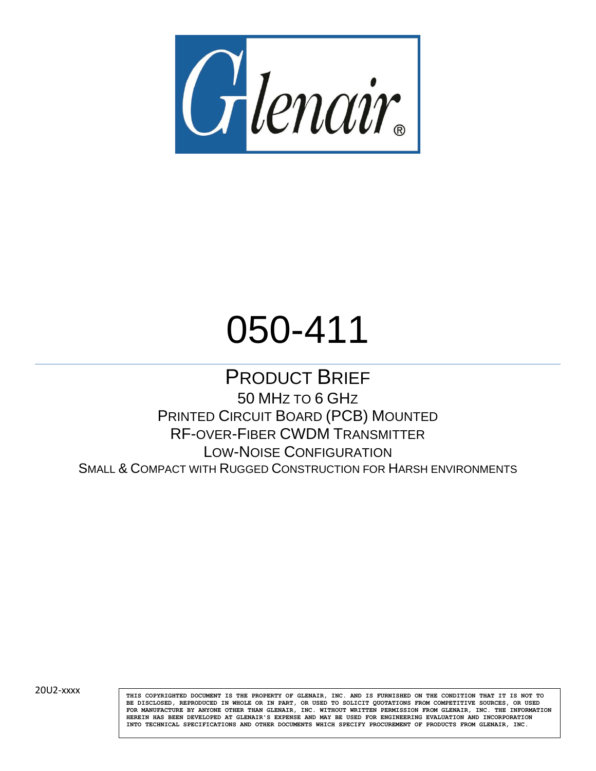

# 050-411

PRODUCT BRIEF 50 MHZ TO 6 GHZ PRINTED CIRCUIT BOARD (PCB) MOUNTED RF-OVER-FIBER CWDM TRANSMITTER LOW-NOISE CONFIGURATION SMALL & COMPACT WITH RUGGED CONSTRUCTION FOR HARSH ENVIRONMENTS

20U2-xxxx

**THIS COPYRIGHTED DOCUMENT IS THE PROPERTY OF GLENAIR, INC. AND IS FURNISHED ON THE CONDITION THAT IT IS NOT TO BE DISCLOSED, REPRODUCED IN WHOLE OR IN PART, OR USED TO SOLICIT QUOTATIONS FROM COMPETITIVE SOURCES, OR USED FOR MANUFACTURE BY ANYONE OTHER THAN GLENAIR, INC. WITHOUT WRITTEN PERMISSION FROM GLENAIR, INC. THE INFORMATION HEREIN HAS BEEN DEVELOPED AT GLENAIR'S EXPENSE AND MAY BE USED FOR ENGINEERING EVALUATION AND INCORPORATION INTO TECHNICAL SPECIFICATIONS AND OTHER DOCUMENTS WHICH SPECIFY PROCUREMENT OF PRODUCTS FROM GLENAIR, INC.**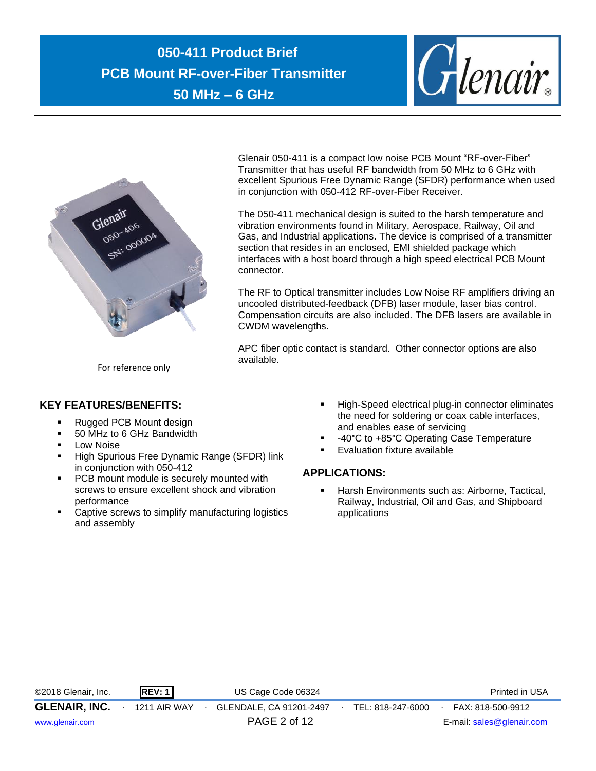



Glenair 050-411 is a compact low noise PCB Mount "RF-over-Fiber" Transmitter that has useful RF bandwidth from 50 MHz to 6 GHz with excellent Spurious Free Dynamic Range (SFDR) performance when used in conjunction with 050-412 RF-over-Fiber Receiver.

The 050-411 mechanical design is suited to the harsh temperature and vibration environments found in Military, Aerospace, Railway, Oil and Gas, and Industrial applications. The device is comprised of a transmitter section that resides in an enclosed, EMI shielded package which interfaces with a host board through a high speed electrical PCB Mount connector.

The RF to Optical transmitter includes Low Noise RF amplifiers driving an uncooled distributed-feedback (DFB) laser module, laser bias control. Compensation circuits are also included. The DFB lasers are available in CWDM wavelengths.

APC fiber optic contact is standard. Other connector options are also available.

For reference only

# **KEY FEATURES/BENEFITS:**

- Rugged PCB Mount design
- 50 MHz to 6 GHz Bandwidth
- **Low Noise**
- **E** High Spurious Free Dynamic Range (SFDR) link in conjunction with 050-412
- **PCB** mount module is securely mounted with screws to ensure excellent shock and vibration performance
- Captive screws to simplify manufacturing logistics and assembly
- High-Speed electrical plug-in connector eliminates the need for soldering or coax cable interfaces, and enables ease of servicing
- -40°C to +85°C Operating Case Temperature
- **Evaluation fixture available**

# **APPLICATIONS:**

■ Harsh Environments such as: Airborne, Tactical, Railway, Industrial, Oil and Gas, and Shipboard applications

| ©2018 Glenair, Inc.  | REV:1               | US Cage Code 06324      |                   | Printed in USA            |
|----------------------|---------------------|-------------------------|-------------------|---------------------------|
| <b>GLENAIR, INC.</b> | <b>1211 AIR WAY</b> | GLENDALE, CA 91201-2497 | TEL: 818-247-6000 | FAX: 818-500-9912         |
| www.glenair.com      |                     | PAGE 2 of 12            |                   | E-mail: sales@glenair.com |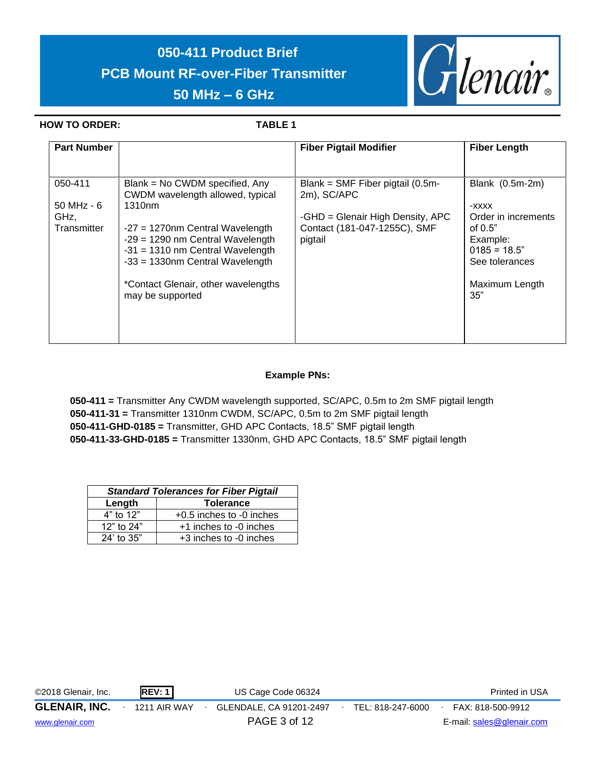

## **HOW TO ORDER: TABLE 1**

| <b>Part Number</b>  |                                                                                                                                                      | <b>Fiber Pigtail Modifier</b>                                               | <b>Fiber Length</b>                                                              |
|---------------------|------------------------------------------------------------------------------------------------------------------------------------------------------|-----------------------------------------------------------------------------|----------------------------------------------------------------------------------|
|                     |                                                                                                                                                      |                                                                             |                                                                                  |
| 050-411             | Blank = No CWDM specified, Any<br>CWDM wavelength allowed, typical                                                                                   | Blank = $SMF$ Fiber pigtail (0.5m-<br>2m), SC/APC                           | Blank (0.5m-2m)                                                                  |
| $50$ MHz - $6$      | 1310 <sub>nm</sub>                                                                                                                                   |                                                                             | -XXXX                                                                            |
| GHz,<br>Transmitter | $-27 = 1270$ nm Central Wavelength<br>$-29 = 1290$ nm Central Wavelength<br>$-31 = 1310$ nm Central Wavelength<br>$-33 = 1330$ nm Central Wavelength | -GHD = Glenair High Density, APC<br>Contact (181-047-1255C), SMF<br>pigtail | Order in increments<br>of $0.5"$<br>Example:<br>$0185 = 18.5"$<br>See tolerances |
|                     | *Contact Glenair, other wavelengths<br>may be supported                                                                                              |                                                                             | Maximum Length<br>35"                                                            |

# **Example PNs:**

**050-411 =** Transmitter Any CWDM wavelength supported, SC/APC, 0.5m to 2m SMF pigtail length **050-411-31 =** Transmitter 1310nm CWDM, SC/APC, 0.5m to 2m SMF pigtail length **050-411-GHD-0185 =** Transmitter, GHD APC Contacts, 18.5" SMF pigtail length **050-411-33-GHD-0185 =** Transmitter 1330nm, GHD APC Contacts, 18.5" SMF pigtail length

| <b>Standard Tolerances for Fiber Pigtail</b> |                              |  |  |  |  |
|----------------------------------------------|------------------------------|--|--|--|--|
| <b>Tolerance</b><br>Length                   |                              |  |  |  |  |
| $4"$ to $12"$                                | $+0.5$ inches to $-0$ inches |  |  |  |  |
| 12" to 24"                                   | +1 inches to -0 inches       |  |  |  |  |
| $24'$ to $35"$                               | +3 inches to -0 inches       |  |  |  |  |

| ©2018 Glenair, Inc.  | <b>REV: 1</b>       | US Cage Code 06324      |                   | Printed in USA            |
|----------------------|---------------------|-------------------------|-------------------|---------------------------|
| <b>GLENAIR, INC.</b> | <b>1211 AIR WAY</b> | GLENDALE, CA 91201-2497 | TEL: 818-247-6000 | FAX: 818-500-9912         |
| www.glenair.com      |                     | PAGE 3 of 12            |                   | E-mail: sales@glenair.com |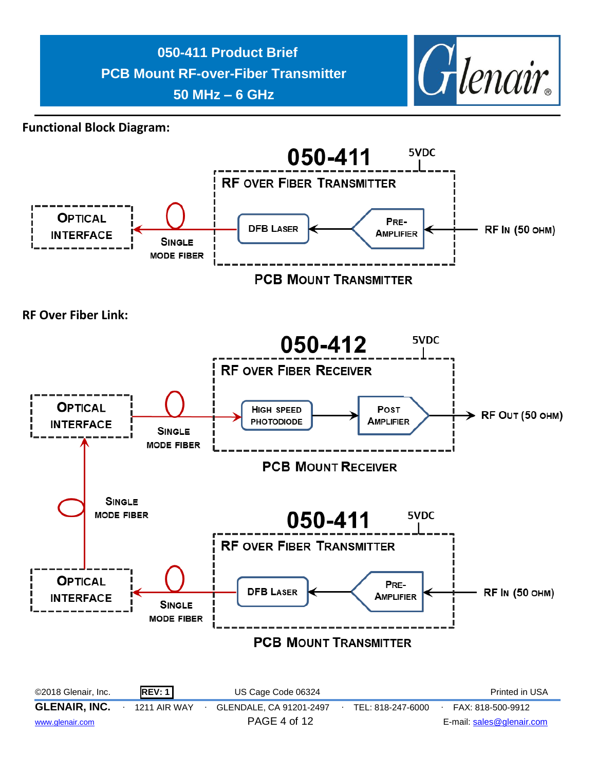

**Functional Block Diagram:**

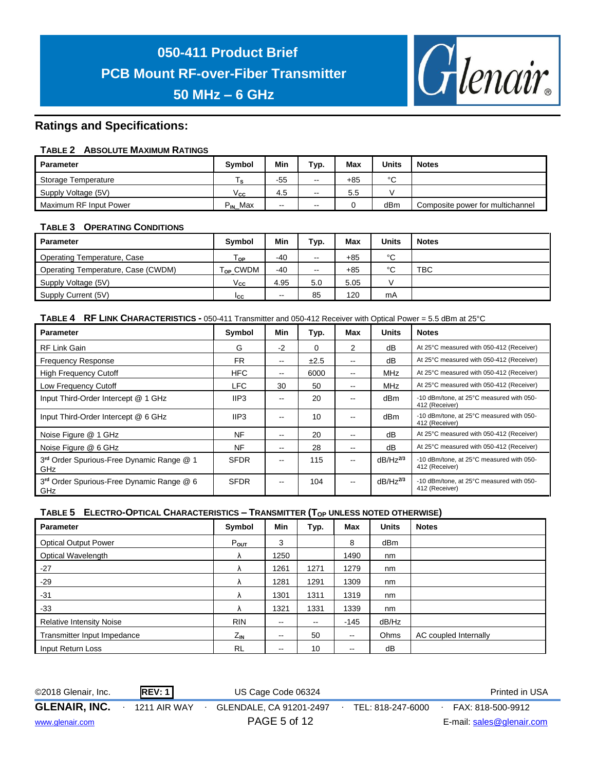

# **Ratings and Specifications:**

## **TABLE 2 ABSOLUTE MAXIMUM RATINGS**

| <b>Parameter</b>       | <b>Symbol</b>        | Min   | Typ.                     | Max | <b>Units</b> | <b>Notes</b>                     |
|------------------------|----------------------|-------|--------------------------|-----|--------------|----------------------------------|
| Storage Temperature    | ۱s                   | $-55$ | $\overline{\phantom{m}}$ | +85 | °C           |                                  |
| Supply Voltage (5V)    | $\vee_{\mathbf{cc}}$ | 4.5   | $\overline{\phantom{m}}$ | 5.5 |              |                                  |
| Maximum RF Input Power | $P_{IN}$ Max         | $- -$ | $- -$                    |     | dBm          | Composite power for multichannel |

## **TABLE 3 OPERATING CONDITIONS**

| <b>Parameter</b>                   | <b>Symbol</b>        | Min   | Typ.          | Max   | <b>Units</b> | <b>Notes</b> |
|------------------------------------|----------------------|-------|---------------|-------|--------------|--------------|
| Operating Temperature, Case        | Тор                  | $-40$ | $\sim$ $\sim$ | $+85$ | °C           |              |
| Operating Temperature, Case (CWDM) | T <sub>OP</sub> CWDM | $-40$ | $-$           | $+85$ | $\sim$<br>ັ  | <b>TBC</b>   |
| Supply Voltage (5V)                | Vcc                  | 4.95  | 5.0           | 5.05  |              |              |
| Supply Current (5V)                | Icc                  | $-$   | 85            | 120   | mA           |              |

### **TABLE 4 RF LINK CHARACTERISTICS -** 050-411 Transmitter and 050-412 Receiver with Optical Power = 5.5 dBm at 25°C .)

| <b>Parameter</b>                                 | Symbol           | Min                      | Typ.     | Max | <b>Units</b>  | <b>Notes</b>                                               |
|--------------------------------------------------|------------------|--------------------------|----------|-----|---------------|------------------------------------------------------------|
| RF Link Gain                                     | G                | $-2$                     | $\Omega$ | 2   | dB            | At 25°C measured with 050-412 (Receiver)                   |
| <b>Frequency Response</b>                        | <b>FR</b>        | $\overline{\phantom{a}}$ | ±2.5     | --  | dB            | At 25°C measured with 050-412 (Receiver)                   |
| <b>High Frequency Cutoff</b>                     | <b>HFC</b>       | $\sim$ $\sim$            | 6000     | --  | <b>MHz</b>    | At 25°C measured with 050-412 (Receiver)                   |
| Low Frequency Cutoff                             | LFC              | 30                       | 50       | --  | <b>MHz</b>    | At 25°C measured with 050-412 (Receiver)                   |
| Input Third-Order Intercept @ 1 GHz              | IIP <sub>3</sub> | --                       | 20       |     | dBm           | -10 dBm/tone, at 25°C measured with 050-<br>412 (Receiver) |
| Input Third-Order Intercept @ 6 GHz              | IIP3             |                          | 10       |     | dBm           | -10 dBm/tone, at 25°C measured with 050-<br>412 (Receiver) |
| Noise Figure @ 1 GHz                             | <b>NF</b>        | $\overline{\phantom{m}}$ | 20       | --  | dB            | At 25°C measured with 050-412 (Receiver)                   |
| Noise Figure @ 6 GHz                             | <b>NF</b>        | $\sim$ $\sim$            | 28       | --  | dB            | At 25°C measured with 050-412 (Receiver)                   |
| 3rd Order Spurious-Free Dynamic Range @ 1<br>GHz | <b>SFDR</b>      | $\sim$ $\sim$            | 115      | --  | $dB/Hz^{2/3}$ | -10 dBm/tone, at 25°C measured with 050-<br>412 (Receiver) |
| 3rd Order Spurious-Free Dynamic Range @ 6<br>GHz | <b>SFDR</b>      | $\sim$ $\sim$            | 104      | --  | $dB/Hz^{2/3}$ | -10 dBm/tone, at 25°C measured with 050-<br>412 (Receiver) |

# **TABLE 5 ELECTRO-OPTICAL CHARACTERISTICS – TRANSMITTER (TOP UNLESS NOTED OTHERWISE)**

| <b>Parameter</b>                | Symbol       | <b>Min</b>               | Typ.                     | <b>Max</b>    | <b>Units</b>    | <b>Notes</b>          |
|---------------------------------|--------------|--------------------------|--------------------------|---------------|-----------------|-----------------------|
| <b>Optical Output Power</b>     | Pout         | 3                        |                          | 8             | dB <sub>m</sub> |                       |
| Optical Wavelength              | Λ            | 1250                     |                          | 1490          | nm              |                       |
| $-27$                           | Λ            | 1261                     | 1271                     | 1279          | nm              |                       |
| $-29$                           | Λ            | 1281                     | 1291                     | 1309          | nm              |                       |
| $-31$                           | Λ            | 1301                     | 1311                     | 1319          | nm              |                       |
| $-33$                           | Λ            | 1321                     | 1331                     | 1339          | nm              |                       |
| <b>Relative Intensity Noise</b> | <b>RIN</b>   | $\overline{\phantom{a}}$ | $\overline{\phantom{m}}$ | $-145$        | dB/Hz           |                       |
| Transmitter Input Impedance     | $Z_{\rm IN}$ | --                       | 50                       | $\sim$ $-$    | Ohms            | AC coupled Internally |
| Input Return Loss               | <b>RL</b>    | --                       | 10                       | $\sim$ $\sim$ | dB              |                       |

©2018 Glenair, Inc. **REV: 1** US Cage Code 06324 Printed in USA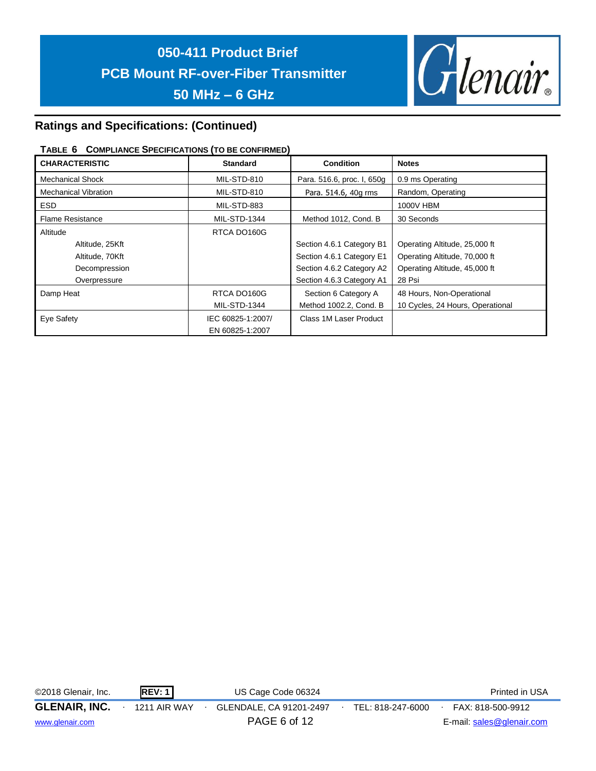

# **Ratings and Specifications: (Continued)**

## **TABLE 6 COMPLIANCE SPECIFICATIONS (TO BE CONFIRMED)**

| <b>CHARACTERISTIC</b>       | <b>Standard</b>     | <b>Condition</b>           | <b>Notes</b>                     |
|-----------------------------|---------------------|----------------------------|----------------------------------|
| <b>Mechanical Shock</b>     | MIL-STD-810         | Para. 516.6, proc. I, 650g | 0.9 ms Operating                 |
| <b>Mechanical Vibration</b> | MIL-STD-810         | Para. 514.6, 40g rms       | Random, Operating                |
| ESD.                        | MIL-STD-883         |                            | 1000V HBM                        |
| <b>Flame Resistance</b>     | <b>MIL-STD-1344</b> | Method 1012, Cond. B       | 30 Seconds                       |
| Altitude                    | RTCA DO160G         |                            |                                  |
| Altitude, 25Kft             |                     | Section 4.6.1 Category B1  | Operating Altitude, 25,000 ft    |
| Altitude, 70Kft             |                     | Section 4.6.1 Category E1  | Operating Altitude, 70,000 ft    |
| Decompression               |                     | Section 4.6.2 Category A2  | Operating Altitude, 45,000 ft    |
| Overpressure                |                     | Section 4.6.3 Category A1  | 28 Psi                           |
| Damp Heat                   | RTCA DO160G         | Section 6 Category A       | 48 Hours, Non-Operational        |
|                             | <b>MIL-STD-1344</b> | Method 1002.2, Cond. B     | 10 Cycles, 24 Hours, Operational |
| Eye Safety                  | IEC 60825-1:2007/   | Class 1M Laser Product     |                                  |
|                             | EN 60825-1:2007     |                            |                                  |

©2018 Glenair, Inc. **REV: 1** US Cage Code 06324 Printed in USA

**GLENAIR, INC.** ∙ 1211 AIR WAY ∙ GLENDALE, CA 91201-2497∙ TEL: 818-247-6000∙ FAX: 818-500-9912 [www.glenair.com](http://www.glenair.com/) **PAGE 6 of 12** E-mail: [sales@glenair.com](mailto:sales@glenair.com)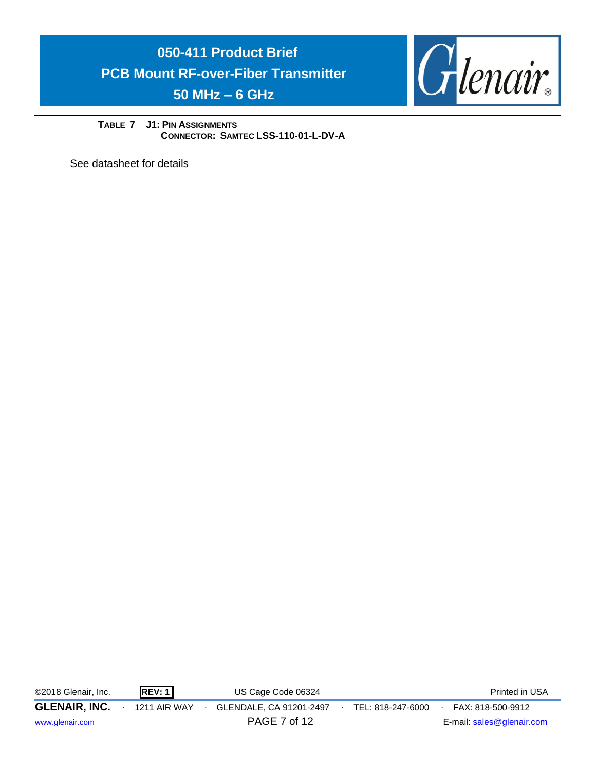

**TABLE 7 J1: PIN ASSIGNMENTS CONNECTOR: SAMTEC LSS-110-01-L-DV-A**

See datasheet for details

©2018 Glenair, Inc. **REV: 1** US Cage Code 06324 Printed in USA

**GLENAIR, INC.** ∙ 1211 AIR WAY ∙ GLENDALE, CA 91201-2497∙ TEL: 818-247-6000∙ FAX: 818-500-9912

[www.glenair.com](http://www.glenair.com/) **PAGE 7 of 12** E-mail: [sales@glenair.com](mailto:sales@glenair.com)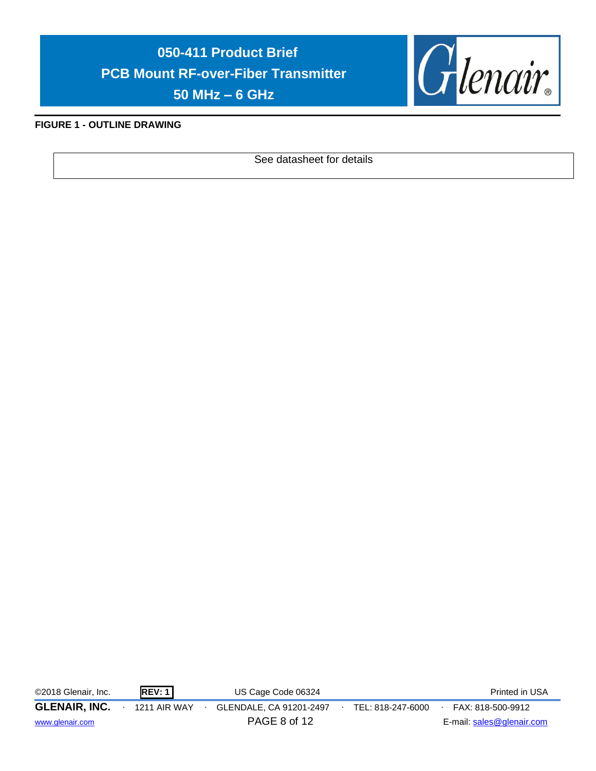

# **FIGURE 1 - OUTLINE DRAWING**

See datasheet for details

©2018 Glenair, Inc. **REV: 1** US Cage Code 06324 Printed in USA

**GLENAIR, INC.** ∙ 1211 AIR WAY ∙ GLENDALE, CA 91201-2497∙ TEL: 818-247-6000∙ FAX: 818-500-9912 [www.glenair.com](http://www.glenair.com/) **PAGE 8 of 12** E-mail: [sales@glenair.com](mailto:sales@glenair.com)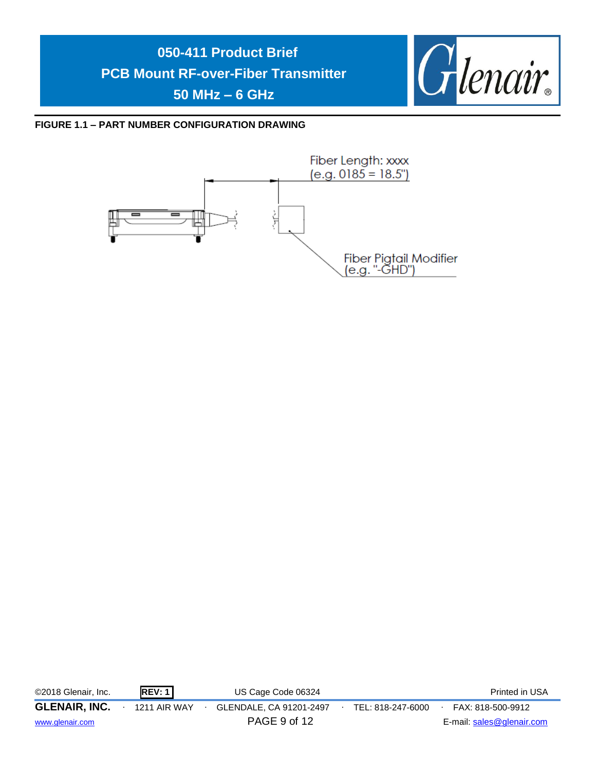

**FIGURE 1.1 – PART NUMBER CONFIGURATION DRAWING**



| ©2018 Glenair, Inc.  | REV: 1              | US Cage Code 06324      |                   | Printed in USA            |
|----------------------|---------------------|-------------------------|-------------------|---------------------------|
| <b>GLENAIR, INC.</b> | <b>1211 AIR WAY</b> | GLENDALE, CA 91201-2497 | TEL: 818-247-6000 | FAX: 818-500-9912         |
| www.glenair.com      |                     | PAGE 9 of 12            |                   | E-mail: sales@glenair.com |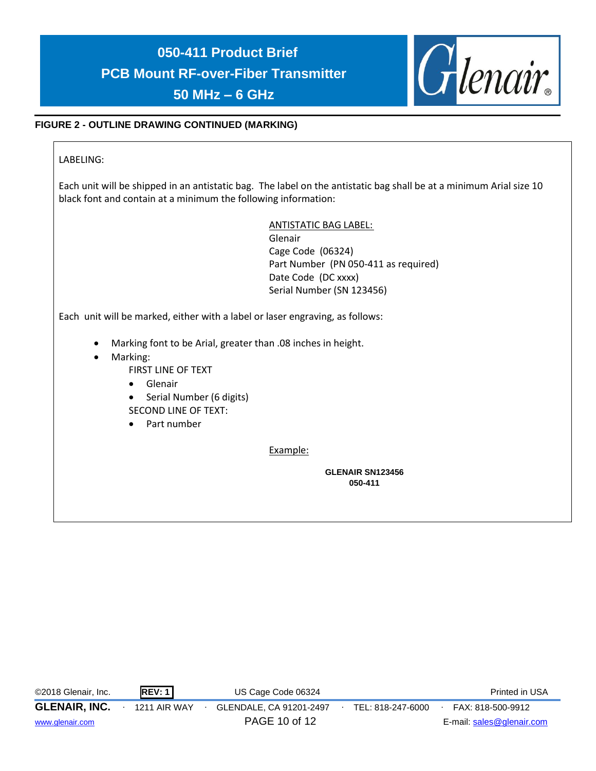

# **FIGURE 2 - OUTLINE DRAWING CONTINUED (MARKING)**

LABELING:

Each unit will be shipped in an antistatic bag. The label on the antistatic bag shall be at a minimum Arial size 10 black font and contain at a minimum the following information:

> ANTISTATIC BAG LABEL: Glenair

Cage Code (06324) Part Number (PN 050-411 as required) Date Code (DC xxxx) Serial Number (SN 123456)

Each unit will be marked, either with a label or laser engraving, as follows:

- Marking font to be Arial, greater than .08 inches in height.
- Marking:
	- FIRST LINE OF TEXT
	- Glenair
	- Serial Number (6 digits) SECOND LINE OF TEXT:
	- Part number

Example:

**GLENAIR SN123456 050-411**

| ©2018 Glenair, Inc.  | REV:1               | US Cage Code 06324      |                   | Printed in USA            |
|----------------------|---------------------|-------------------------|-------------------|---------------------------|
| <b>GLENAIR, INC.</b> | <b>1211 AIR WAY</b> | GLENDALE, CA 91201-2497 | TEL: 818-247-6000 | FAX: 818-500-9912         |
| www.glenair.com      |                     | PAGE 10 of 12           |                   | E-mail: sales@glenair.com |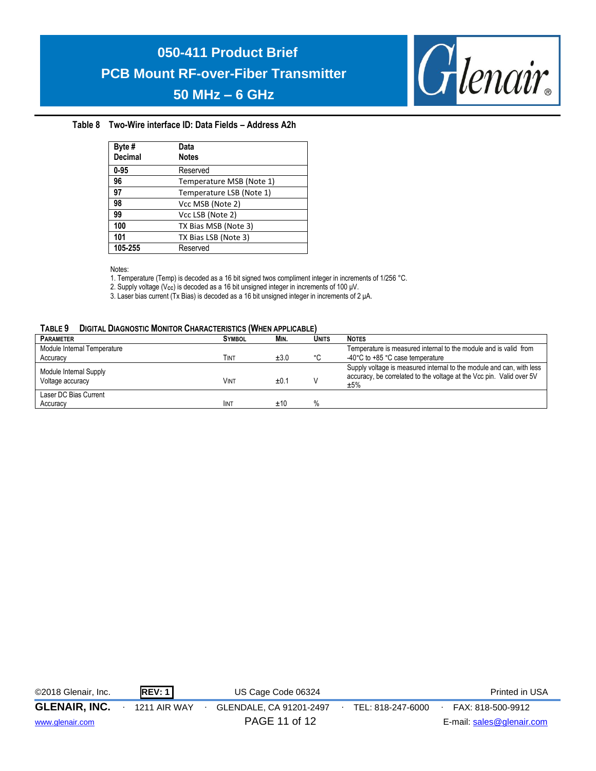

## **Table 8 Two-Wire interface ID: Data Fields – Address A2h**

| Byte #<br><b>Decimal</b> | Data<br><b>Notes</b>     |
|--------------------------|--------------------------|
| $0 - 95$                 | Reserved                 |
| 96                       | Temperature MSB (Note 1) |
| 97                       | Temperature LSB (Note 1) |
| 98                       | Vcc MSB (Note 2)         |
| 99                       | Vcc LSB (Note 2)         |
| 100                      | TX Bias MSB (Note 3)     |
| 101                      | TX Bias LSB (Note 3)     |
| 105-255                  | Reserved                 |

Notes:

1. Temperature (Temp) is decoded as a 16 bit signed twos compliment integer in increments of 1/256 °C.

2. Supply voltage (V<sub>cc</sub>) is decoded as a 16 bit unsigned integer in increments of 100 μV.

3. Laser bias current (Tx Bias) is decoded as a 16 bit unsigned integer in increments of 2 μA.

#### **TABLE 9 DIGITAL DIAGNOSTIC MONITOR CHARACTERISTICS (WHEN APPLICABLE)**

| <b>PARAMETER</b>            | <b>SYMBOL</b> | MIN. | Units | <b>NOTES</b>                                                                |
|-----------------------------|---------------|------|-------|-----------------------------------------------------------------------------|
| Module Internal Temperature |               |      |       | Temperature is measured internal to the module and is valid from            |
| Accuracy                    | Тімт          | ±3.0 | ۰c    | -40°C to +85 °C case temperature                                            |
| Module Internal Supply      |               |      |       | Supply voltage is measured internal to the module and can, with less        |
| Voltage accuracy            | <b>VINT</b>   | ±0.1 |       | accuracy, be correlated to the voltage at the Vcc pin. Valid over 5V<br>±5% |
| Laser DC Bias Current       |               |      |       |                                                                             |
| Accuracy                    | <b>IINT</b>   | ±10  |       |                                                                             |